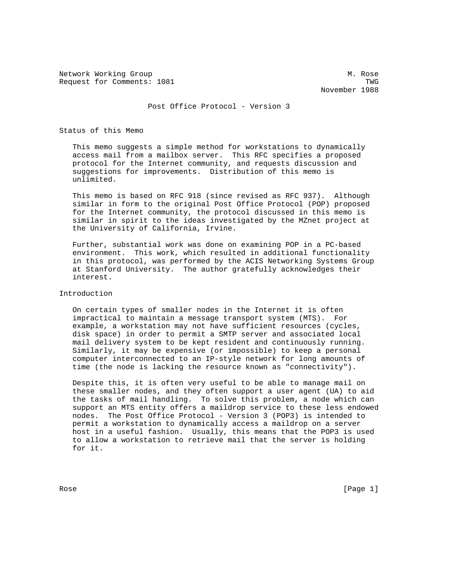Network Working Group Methods and Methods Methods Methods Methods Methods Methods Methods Methods Methods Methods Methods Methods Methods Methods Methods Methods Methods Methods Methods Methods Methods Methods Methods Meth Request for Comments: 1081 TWG

November 1988

Post Office Protocol - Version 3

Status of this Memo

 This memo suggests a simple method for workstations to dynamically access mail from a mailbox server. This RFC specifies a proposed protocol for the Internet community, and requests discussion and suggestions for improvements. Distribution of this memo is unlimited.

 This memo is based on RFC 918 (since revised as RFC 937). Although similar in form to the original Post Office Protocol (POP) proposed for the Internet community, the protocol discussed in this memo is similar in spirit to the ideas investigated by the MZnet project at the University of California, Irvine.

 Further, substantial work was done on examining POP in a PC-based environment. This work, which resulted in additional functionality in this protocol, was performed by the ACIS Networking Systems Group at Stanford University. The author gratefully acknowledges their interest.

Introduction

 On certain types of smaller nodes in the Internet it is often impractical to maintain a message transport system (MTS). For example, a workstation may not have sufficient resources (cycles, disk space) in order to permit a SMTP server and associated local mail delivery system to be kept resident and continuously running. Similarly, it may be expensive (or impossible) to keep a personal computer interconnected to an IP-style network for long amounts of time (the node is lacking the resource known as "connectivity").

 Despite this, it is often very useful to be able to manage mail on these smaller nodes, and they often support a user agent (UA) to aid the tasks of mail handling. To solve this problem, a node which can support an MTS entity offers a maildrop service to these less endowed nodes. The Post Office Protocol - Version 3 (POP3) is intended to permit a workstation to dynamically access a maildrop on a server host in a useful fashion. Usually, this means that the POP3 is used to allow a workstation to retrieve mail that the server is holding for it.

Rose [Page 1]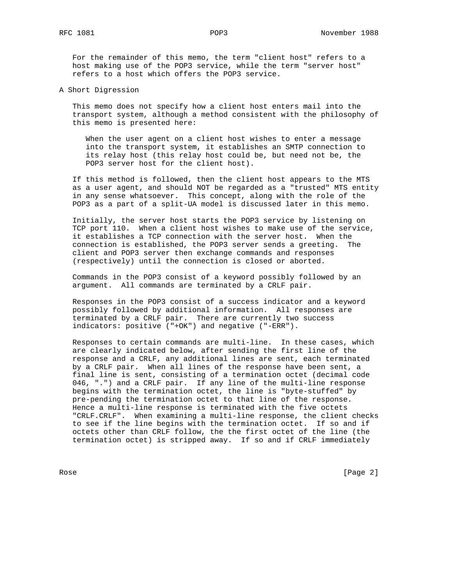For the remainder of this memo, the term "client host" refers to a host making use of the POP3 service, while the term "server host" refers to a host which offers the POP3 service.

A Short Digression

 This memo does not specify how a client host enters mail into the transport system, although a method consistent with the philosophy of this memo is presented here:

 When the user agent on a client host wishes to enter a message into the transport system, it establishes an SMTP connection to its relay host (this relay host could be, but need not be, the POP3 server host for the client host).

 If this method is followed, then the client host appears to the MTS as a user agent, and should NOT be regarded as a "trusted" MTS entity in any sense whatsoever. This concept, along with the role of the POP3 as a part of a split-UA model is discussed later in this memo.

 Initially, the server host starts the POP3 service by listening on TCP port 110. When a client host wishes to make use of the service, it establishes a TCP connection with the server host. When the connection is established, the POP3 server sends a greeting. The client and POP3 server then exchange commands and responses (respectively) until the connection is closed or aborted.

 Commands in the POP3 consist of a keyword possibly followed by an argument. All commands are terminated by a CRLF pair.

 Responses in the POP3 consist of a success indicator and a keyword possibly followed by additional information. All responses are terminated by a CRLF pair. There are currently two success indicators: positive ("+OK") and negative ("-ERR").

 Responses to certain commands are multi-line. In these cases, which are clearly indicated below, after sending the first line of the response and a CRLF, any additional lines are sent, each terminated by a CRLF pair. When all lines of the response have been sent, a final line is sent, consisting of a termination octet (decimal code 046, ".") and a CRLF pair. If any line of the multi-line response begins with the termination octet, the line is "byte-stuffed" by pre-pending the termination octet to that line of the response. Hence a multi-line response is terminated with the five octets "CRLF.CRLF". When examining a multi-line response, the client checks to see if the line begins with the termination octet. If so and if octets other than CRLF follow, the the first octet of the line (the termination octet) is stripped away. If so and if CRLF immediately

Rose [Page 2]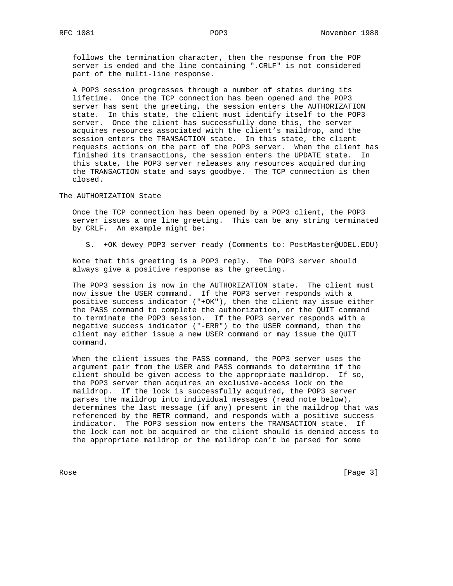follows the termination character, then the response from the POP server is ended and the line containing ".CRLF" is not considered part of the multi-line response.

 A POP3 session progresses through a number of states during its lifetime. Once the TCP connection has been opened and the POP3 server has sent the greeting, the session enters the AUTHORIZATION state. In this state, the client must identify itself to the POP3 server. Once the client has successfully done this, the server acquires resources associated with the client's maildrop, and the session enters the TRANSACTION state. In this state, the client requests actions on the part of the POP3 server. When the client has finished its transactions, the session enters the UPDATE state. In this state, the POP3 server releases any resources acquired during the TRANSACTION state and says goodbye. The TCP connection is then closed.

The AUTHORIZATION State

 Once the TCP connection has been opened by a POP3 client, the POP3 server issues a one line greeting. This can be any string terminated by CRLF. An example might be:

S. +OK dewey POP3 server ready (Comments to: PostMaster@UDEL.EDU)

 Note that this greeting is a POP3 reply. The POP3 server should always give a positive response as the greeting.

 The POP3 session is now in the AUTHORIZATION state. The client must now issue the USER command. If the POP3 server responds with a positive success indicator ("+OK"), then the client may issue either the PASS command to complete the authorization, or the QUIT command to terminate the POP3 session. If the POP3 server responds with a negative success indicator ("-ERR") to the USER command, then the client may either issue a new USER command or may issue the QUIT command.

 When the client issues the PASS command, the POP3 server uses the argument pair from the USER and PASS commands to determine if the client should be given access to the appropriate maildrop. If so, the POP3 server then acquires an exclusive-access lock on the maildrop. If the lock is successfully acquired, the POP3 server parses the maildrop into individual messages (read note below), determines the last message (if any) present in the maildrop that was referenced by the RETR command, and responds with a positive success indicator. The POP3 session now enters the TRANSACTION state. If the lock can not be acquired or the client should is denied access to the appropriate maildrop or the maildrop can't be parsed for some

Rose [Page 3]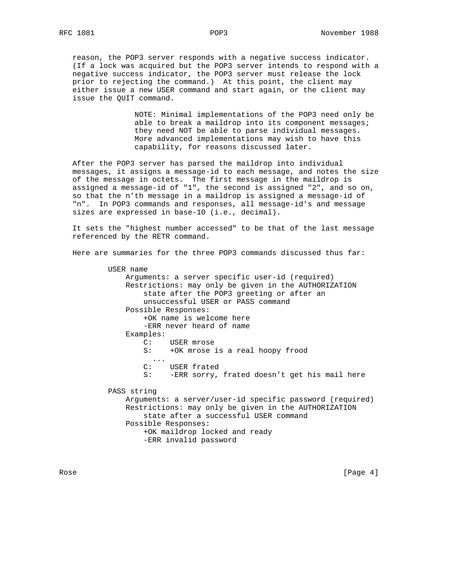reason, the POP3 server responds with a negative success indicator. (If a lock was acquired but the POP3 server intends to respond with a negative success indicator, the POP3 server must release the lock prior to rejecting the command.) At this point, the client may either issue a new USER command and start again, or the client may issue the QUIT command.

> NOTE: Minimal implementations of the POP3 need only be able to break a maildrop into its component messages; they need NOT be able to parse individual messages. More advanced implementations may wish to have this capability, for reasons discussed later.

 After the POP3 server has parsed the maildrop into individual messages, it assigns a message-id to each message, and notes the size of the message in octets. The first message in the maildrop is assigned a message-id of "1", the second is assigned "2", and so on, so that the n'th message in a maildrop is assigned a message-id of "n". In POP3 commands and responses, all message-id's and message sizes are expressed in base-10 (i.e., decimal).

 It sets the "highest number accessed" to be that of the last message referenced by the RETR command.

Here are summaries for the three POP3 commands discussed thus far:

 USER name Arguments: a server specific user-id (required) Restrictions: may only be given in the AUTHORIZATION state after the POP3 greeting or after an unsuccessful USER or PASS command Possible Responses: +OK name is welcome here -ERR never heard of name Examples: C: USER mrose<br>S: +OK mrose i +OK mrose is a real hoopy frood ... C: USER frated S: -ERR sorry, frated doesn't get his mail here PASS string Arguments: a server/user-id specific password (required) Restrictions: may only be given in the AUTHORIZATION state after a successful USER command Possible Responses: +OK maildrop locked and ready -ERR invalid password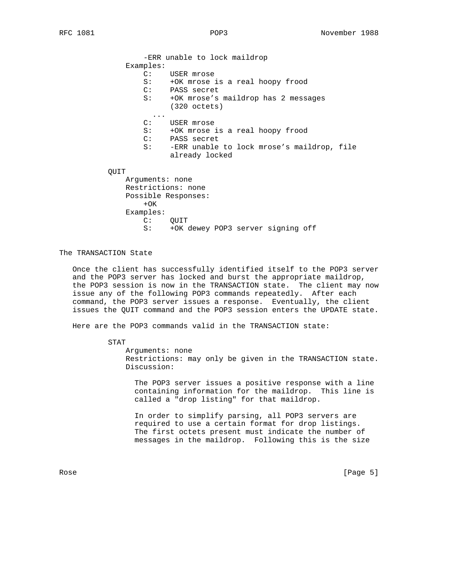-ERR unable to lock maildrop Examples: C: USER mrose S: +OK mrose is a real hoopy frood C: PASS secret S: +OK mrose's maildrop has 2 messages (320 octets) ... C: USER mrose S: +OK mrose is a real hoopy frood C: PASS secret S: -ERR unable to lock mrose's maildrop, file already locked QUIT Arguments: none Restrictions: none Possible Responses:  $+OK$ 

The TRANSACTION State

Examples:

C: QUIT

 Once the client has successfully identified itself to the POP3 server and the POP3 server has locked and burst the appropriate maildrop, the POP3 session is now in the TRANSACTION state. The client may now issue any of the following POP3 commands repeatedly. After each command, the POP3 server issues a response. Eventually, the client issues the QUIT command and the POP3 session enters the UPDATE state.

S: +OK dewey POP3 server signing off

Here are the POP3 commands valid in the TRANSACTION state:

STAT

 Arguments: none Restrictions: may only be given in the TRANSACTION state. Discussion:

 The POP3 server issues a positive response with a line containing information for the maildrop. This line is called a "drop listing" for that maildrop.

 In order to simplify parsing, all POP3 servers are required to use a certain format for drop listings. The first octets present must indicate the number of messages in the maildrop. Following this is the size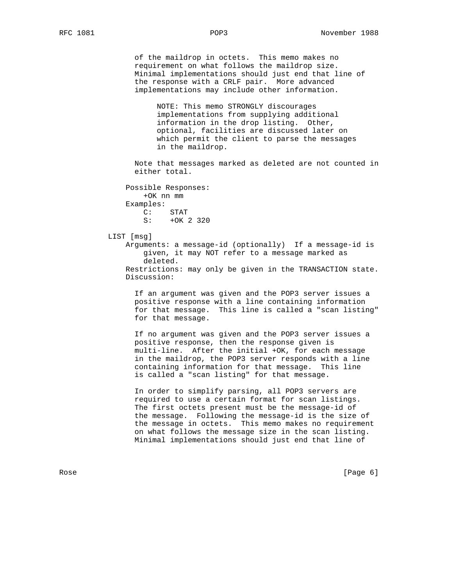of the maildrop in octets. This memo makes no requirement on what follows the maildrop size. Minimal implementations should just end that line of the response with a CRLF pair. More advanced implementations may include other information.

 NOTE: This memo STRONGLY discourages implementations from supplying additional information in the drop listing. Other, optional, facilities are discussed later on which permit the client to parse the messages in the maildrop.

 Note that messages marked as deleted are not counted in either total.

 Possible Responses: +OK nn mm Examples: C: STAT S: +OK 2 320

LIST [msg]

 Arguments: a message-id (optionally) If a message-id is given, it may NOT refer to a message marked as deleted. Restrictions: may only be given in the TRANSACTION state. Discussion:

 If an argument was given and the POP3 server issues a positive response with a line containing information for that message. This line is called a "scan listing" for that message.

 If no argument was given and the POP3 server issues a positive response, then the response given is multi-line. After the initial +OK, for each message in the maildrop, the POP3 server responds with a line containing information for that message. This line is called a "scan listing" for that message.

 In order to simplify parsing, all POP3 servers are required to use a certain format for scan listings. The first octets present must be the message-id of the message. Following the message-id is the size of the message in octets. This memo makes no requirement on what follows the message size in the scan listing. Minimal implementations should just end that line of

Rose [Page 6] [Page 6] [Page 6] [Page 6] [Page 6] [Page 6] [Page 6] [Page 6] [Page 6] [Page 6] [Page 6] [Page 6] [Page 6] [Page 6] [Page 6] [Page 6] [Page 6] [Page 6] [Page 6] [Page 6] [Page 6] [Page 6] [Page 6] [Page 6] [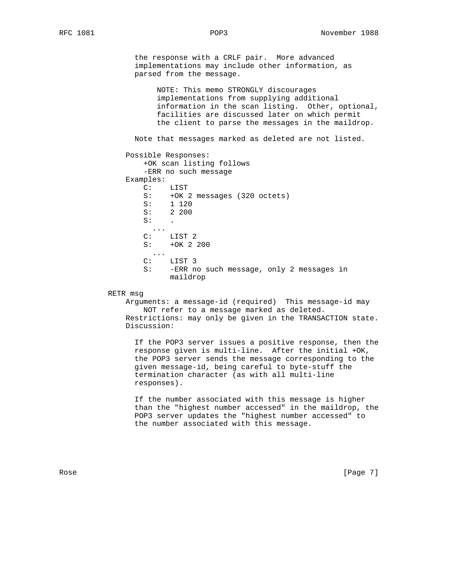the response with a CRLF pair. More advanced implementations may include other information, as parsed from the message.

 NOTE: This memo STRONGLY discourages implementations from supplying additional information in the scan listing. Other, optional, facilities are discussed later on which permit the client to parse the messages in the maildrop.

Note that messages marked as deleted are not listed.

Possible Responses:

 +OK scan listing follows -ERR no such message Examples: C: LIST S: +OK 2 messages (320 octets)<br>S: 1 120 S: 1 120 S: 2 200  $\mathsf{S}:$  .  $\overline{C}$ : LIST<sub>2</sub> S: +OK 2 200 ... C: LIST 3

- S: -ERR no such message, only 2 messages in maildrop
- RETR msg

 Arguments: a message-id (required) This message-id may NOT refer to a message marked as deleted. Restrictions: may only be given in the TRANSACTION state. Discussion:

 If the POP3 server issues a positive response, then the response given is multi-line. After the initial +OK, the POP3 server sends the message corresponding to the given message-id, being careful to byte-stuff the termination character (as with all multi-line responses).

 If the number associated with this message is higher than the "highest number accessed" in the maildrop, the POP3 server updates the "highest number accessed" to the number associated with this message.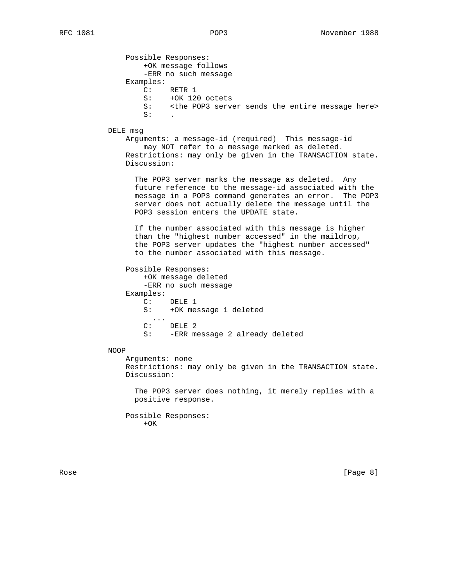Possible Responses: +OK message follows -ERR no such message Examples: C: RETR 1 S: +OK 120 octets<br>S: <the POP3 serve <the POP3 server sends the entire message here>  $\mathsf{S}:$   $\blacksquare$ 

DELE msg

 Arguments: a message-id (required) This message-id may NOT refer to a message marked as deleted. Restrictions: may only be given in the TRANSACTION state. Discussion:

 The POP3 server marks the message as deleted. Any future reference to the message-id associated with the message in a POP3 command generates an error. The POP3 server does not actually delete the message until the POP3 session enters the UPDATE state.

 If the number associated with this message is higher than the "highest number accessed" in the maildrop, the POP3 server updates the "highest number accessed" to the number associated with this message.

Possible Responses:

 +OK message deleted -ERR no such message Examples: C: DELE 1 S: +OK message 1 deleted ... C: DELE 2 S: -ERR message 2 already deleted

## NOOP

 Arguments: none Restrictions: may only be given in the TRANSACTION state. Discussion:

 The POP3 server does nothing, it merely replies with a positive response.

 Possible Responses:  $+OK$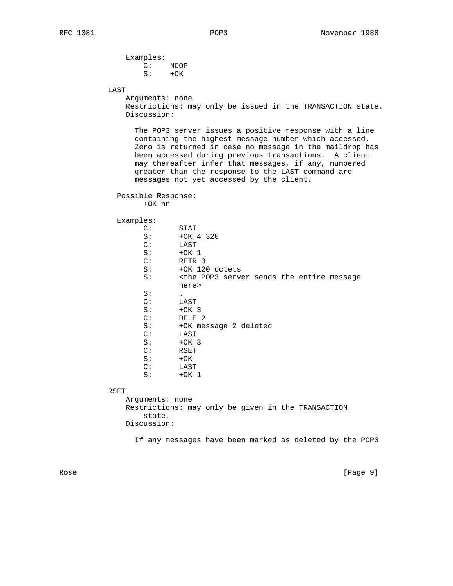| Examples: |       |
|-----------|-------|
| $C:$ NOOP |       |
| S:        | $+OK$ |

LAST

 Arguments: none Restrictions: may only be issued in the TRANSACTION state. Discussion:

 The POP3 server issues a positive response with a line containing the highest message number which accessed. Zero is returned in case no message in the maildrop has been accessed during previous transactions. A client may thereafter infer that messages, if any, numbered greater than the response to the LAST command are messages not yet accessed by the client.

```
 Possible Response:
+OK nn
```
Examples:

| $\mathsf{C}$ : | STAT                                                                      |
|----------------|---------------------------------------------------------------------------|
| S:             | $+OK$ 4 320                                                               |
| C:             | LAST                                                                      |
| S:             | $+OK1$                                                                    |
| $\mathbb{C}$ : | RETR <sub>3</sub>                                                         |
| S:             | +OK 120 octets                                                            |
| S:             | <the entire="" message<="" pop3="" sends="" server="" td="" the=""></the> |
|                | here>                                                                     |
| S:             | $\bullet$                                                                 |
| $\mathsf{C}$ : | LAST                                                                      |
| S:             | $+OK3$                                                                    |
| C:             | DELE <sub>2</sub>                                                         |
| S:             | +OK message 2 deleted                                                     |
| C:             | LAST                                                                      |
| S:             | $+OK3$                                                                    |
| C:             | RSET                                                                      |
| S:             | $+OK$                                                                     |
| $\mathbb{C}$ : | LAST                                                                      |
| S:             | $+OK$ 1                                                                   |
|                |                                                                           |
|                |                                                                           |

RSET

 Arguments: none Restrictions: may only be given in the TRANSACTION state. Discussion:

If any messages have been marked as deleted by the POP3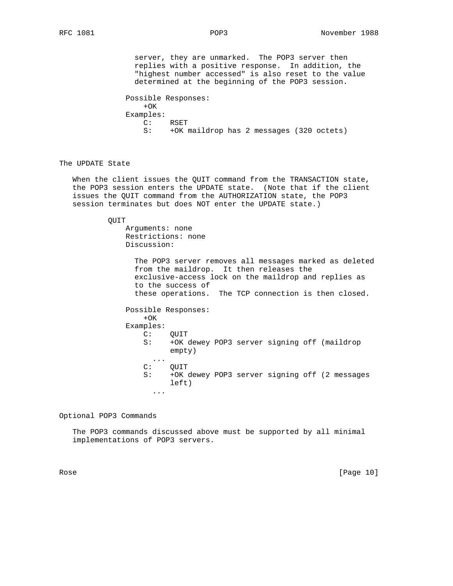server, they are unmarked. The POP3 server then replies with a positive response. In addition, the "highest number accessed" is also reset to the value determined at the beginning of the POP3 session.

 Possible Responses:  $+OK$  Examples: C: RSET S: +OK maildrop has 2 messages (320 octets)

The UPDATE State

 When the client issues the QUIT command from the TRANSACTION state, the POP3 session enters the UPDATE state. (Note that if the client issues the QUIT command from the AUTHORIZATION state, the POP3 session terminates but does NOT enter the UPDATE state.)

QUIT

 Arguments: none Restrictions: none Discussion:

> The POP3 server removes all messages marked as deleted from the maildrop. It then releases the exclusive-access lock on the maildrop and replies as to the success of these operations. The TCP connection is then closed.

 Possible Responses:  $+OK$  Examples: C: QUIT S: +OK dewey POP3 server signing off (maildrop empty)  $\overline{C}$ : C: QUIT<br>S: +OK +OK dewey POP3 server signing off (2 messages left)

Optional POP3 Commands

...

 The POP3 commands discussed above must be supported by all minimal implementations of POP3 servers.

Rose [Page 10]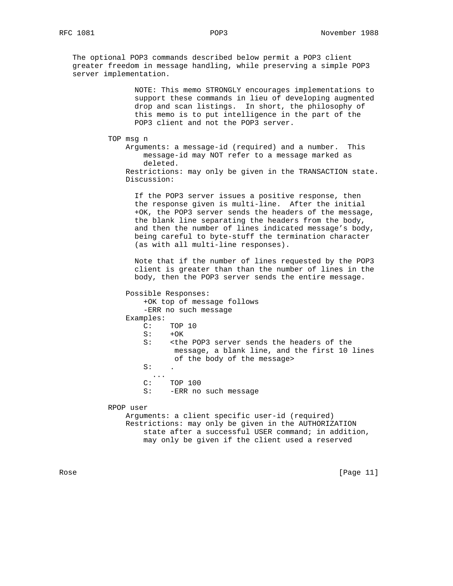The optional POP3 commands described below permit a POP3 client greater freedom in message handling, while preserving a simple POP3 server implementation.

> NOTE: This memo STRONGLY encourages implementations to support these commands in lieu of developing augmented drop and scan listings. In short, the philosophy of this memo is to put intelligence in the part of the POP3 client and not the POP3 server.

TOP msg n

 Arguments: a message-id (required) and a number. This message-id may NOT refer to a message marked as deleted. Restrictions: may only be given in the TRANSACTION state. Discussion:

 If the POP3 server issues a positive response, then the response given is multi-line. After the initial +OK, the POP3 server sends the headers of the message, the blank line separating the headers from the body, and then the number of lines indicated message's body, being careful to byte-stuff the termination character (as with all multi-line responses).

 Note that if the number of lines requested by the POP3 client is greater than than the number of lines in the body, then the POP3 server sends the entire message.

 Possible Responses: +OK top of message follows -ERR no such message Examples: C: TOP 10  $S: +OK$ S: < the POP3 server sends the headers of the message, a blank line, and the first 10 lines of the body of the message>  $\mathsf{S}:$  .  $\overline{C}$ : TOP 100 S: - ERR no such message RPOP user Arguments: a client specific user-id (required) Restrictions: may only be given in the AUTHORIZATION state after a successful USER command; in addition,

may only be given if the client used a reserved

Rose [Page 11]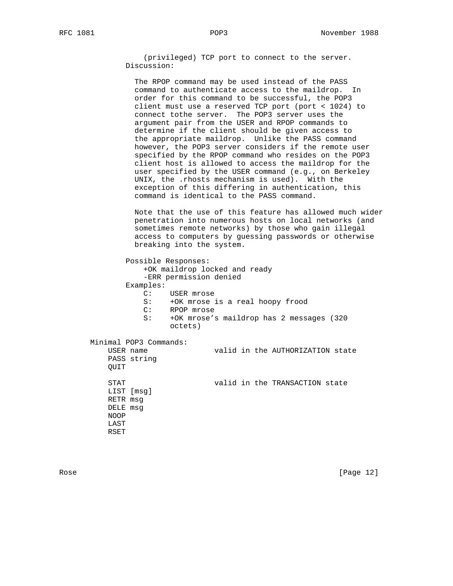(privileged) TCP port to connect to the server. Discussion:

 The RPOP command may be used instead of the PASS command to authenticate access to the maildrop. In order for this command to be successful, the POP3 client must use a reserved TCP port (port < 1024) to connect tothe server. The POP3 server uses the argument pair from the USER and RPOP commands to determine if the client should be given access to the appropriate maildrop. Unlike the PASS command however, the POP3 server considers if the remote user specified by the RPOP command who resides on the POP3 client host is allowed to access the maildrop for the user specified by the USER command (e.g., on Berkeley UNIX, the .rhosts mechanism is used). With the exception of this differing in authentication, this command is identical to the PASS command.

 Note that the use of this feature has allowed much wider penetration into numerous hosts on local networks (and sometimes remote networks) by those who gain illegal access to computers by guessing passwords or otherwise breaking into the system.

 Possible Responses: +OK maildrop locked and ready -ERR permission denied Examples: C: USER mrose S: +OK mrose is a real hoopy frood C: RPOP mrose S: +OK mrose's maildrop has 2 messages (320 octets) Minimal POP3 Commands:

USER name **valid** in the AUTHORIZATION state PASS string QUIT STAT valid in the TRANSACTION state LIST [msg] RETR msg DELE msg NOOP LAST RSET

Rose [Page 12]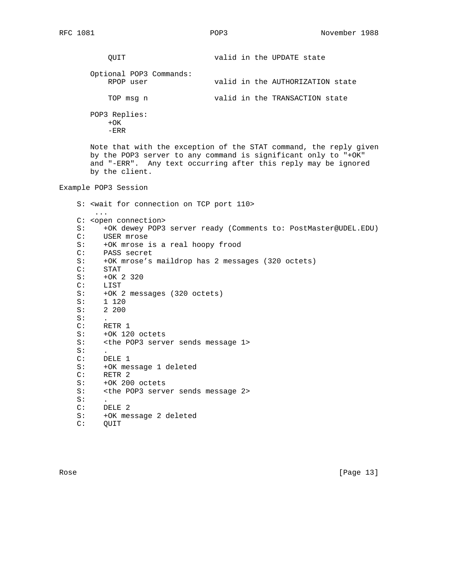QUIT valid in the UPDATE state Optional POP3 Commands: RPOP user valid in the AUTHORIZATION state TOP msg n valid in the TRANSACTION state POP3 Replies:  $+OK$  -ERR Note that with the exception of the STAT command, the reply given by the POP3 server to any command is significant only to "+OK" and "-ERR". Any text occurring after this reply may be ignored by the client. Example POP3 Session S: <wait for connection on TCP port 110> ... C: <open connection> S: +OK dewey POP3 server ready (Comments to: PostMaster@UDEL.EDU) C: USER mrose S: +OK mrose is a real hoopy frood<br>C: PASS secret PASS secret S: +OK mrose's maildrop has 2 messages (320 octets) C: STAT S: +0K 2 320<br>C: LIST LIST S: +OK 2 messages (320 octets)<br>S: 1 120 S: 1 120 S: 2 200  $S:$  C: RETR 1 S: +OK 120 octets S: <the POP3 server sends message 1>  $S:$  C: DELE 1 S: +OK message 1 deleted C: RETR 2 S: +OK 200 octets S: <the POP3 server sends message 2>  $S:$  C: DELE 2 S: +OK message 2 deleted C: QUIT

Rose [Page 13]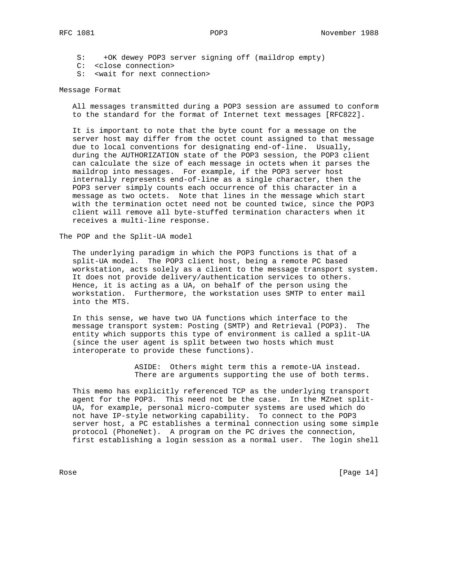S: +OK dewey POP3 server signing off (maildrop empty)

- C: <close connection>
- S: <wait for next connection>

## Message Format

 All messages transmitted during a POP3 session are assumed to conform to the standard for the format of Internet text messages [RFC822].

 It is important to note that the byte count for a message on the server host may differ from the octet count assigned to that message due to local conventions for designating end-of-line. Usually, during the AUTHORIZATION state of the POP3 session, the POP3 client can calculate the size of each message in octets when it parses the maildrop into messages. For example, if the POP3 server host internally represents end-of-line as a single character, then the POP3 server simply counts each occurrence of this character in a message as two octets. Note that lines in the message which start with the termination octet need not be counted twice, since the POP3 client will remove all byte-stuffed termination characters when it receives a multi-line response.

The POP and the Split-UA model

 The underlying paradigm in which the POP3 functions is that of a split-UA model. The POP3 client host, being a remote PC based workstation, acts solely as a client to the message transport system. It does not provide delivery/authentication services to others. Hence, it is acting as a UA, on behalf of the person using the workstation. Furthermore, the workstation uses SMTP to enter mail into the MTS.

 In this sense, we have two UA functions which interface to the message transport system: Posting (SMTP) and Retrieval (POP3). The entity which supports this type of environment is called a split-UA (since the user agent is split between two hosts which must interoperate to provide these functions).

> ASIDE: Others might term this a remote-UA instead. There are arguments supporting the use of both terms.

 This memo has explicitly referenced TCP as the underlying transport agent for the POP3. This need not be the case. In the MZnet split- UA, for example, personal micro-computer systems are used which do not have IP-style networking capability. To connect to the POP3 server host, a PC establishes a terminal connection using some simple protocol (PhoneNet). A program on the PC drives the connection, first establishing a login session as a normal user. The login shell

Rose [Page 14]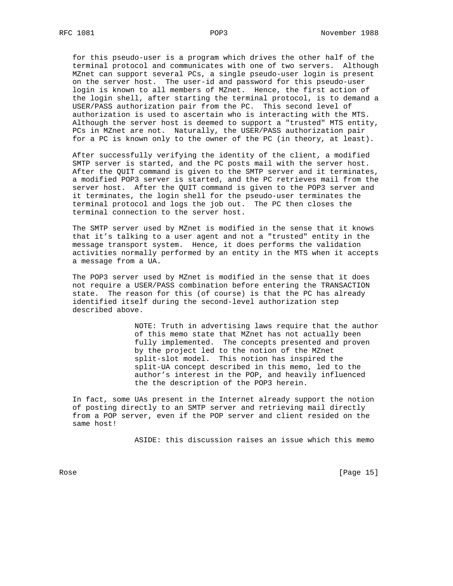for this pseudo-user is a program which drives the other half of the terminal protocol and communicates with one of two servers. Although MZnet can support several PCs, a single pseudo-user login is present on the server host. The user-id and password for this pseudo-user login is known to all members of MZnet. Hence, the first action of the login shell, after starting the terminal protocol, is to demand a USER/PASS authorization pair from the PC. This second level of authorization is used to ascertain who is interacting with the MTS. Although the server host is deemed to support a "trusted" MTS entity, PCs in MZnet are not. Naturally, the USER/PASS authorization pair for a PC is known only to the owner of the PC (in theory, at least).

 After successfully verifying the identity of the client, a modified SMTP server is started, and the PC posts mail with the server host. After the QUIT command is given to the SMTP server and it terminates, a modified POP3 server is started, and the PC retrieves mail from the server host. After the QUIT command is given to the POP3 server and it terminates, the login shell for the pseudo-user terminates the terminal protocol and logs the job out. The PC then closes the terminal connection to the server host.

 The SMTP server used by MZnet is modified in the sense that it knows that it's talking to a user agent and not a "trusted" entity in the message transport system. Hence, it does performs the validation activities normally performed by an entity in the MTS when it accepts a message from a UA.

 The POP3 server used by MZnet is modified in the sense that it does not require a USER/PASS combination before entering the TRANSACTION state. The reason for this (of course) is that the PC has already identified itself during the second-level authorization step described above.

> NOTE: Truth in advertising laws require that the author of this memo state that MZnet has not actually been fully implemented. The concepts presented and proven by the project led to the notion of the MZnet split-slot model. This notion has inspired the split-UA concept described in this memo, led to the author's interest in the POP, and heavily influenced the the description of the POP3 herein.

 In fact, some UAs present in the Internet already support the notion of posting directly to an SMTP server and retrieving mail directly from a POP server, even if the POP server and client resided on the same host!

ASIDE: this discussion raises an issue which this memo

Rose [Page 15]